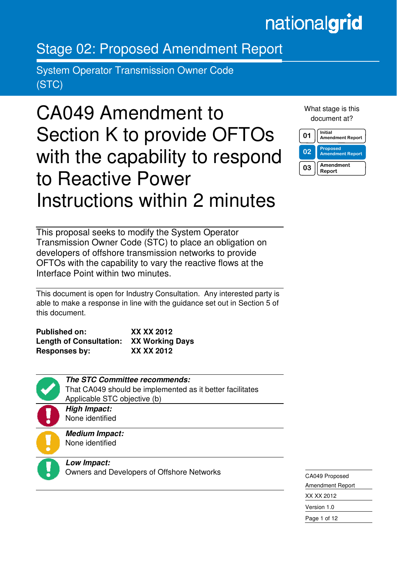# nationalgrid

### Stage 02: Proposed Amendment Report

System Operator Transmission Owner Code (STC)

## CA049 Amendment to Section K to provide OFTOs with the capability to respond to Reactive Power Instructions within 2 minutes

What stage is this document at?



This proposal seeks to modify the System Operator Transmission Owner Code (STC) to place an obligation on developers of offshore transmission networks to provide OFTOs with the capability to vary the reactive flows at the Interface Point within two minutes.

This document is open for Industry Consultation. Any interested party is able to make a response in line with the guidance set out in Section 5 of this document.

| <b>Published on:</b>           | XX XX 2012             |
|--------------------------------|------------------------|
| <b>Length of Consultation:</b> | <b>XX Working Days</b> |
| Responses by:                  | XX XX 2012             |



Ξ

**The STC Committee recommends:**  That CA049 should be implemented as it better facilitates Applicable STC objective (b)

**High Impact:**  None identified

**Medium Impact:**  None identified

**Low Impact:**  Owners and Developers of Offshore Networks

CA049 Proposed Amendment Report XX XX 2012 Version 1.0 Page 1 of 12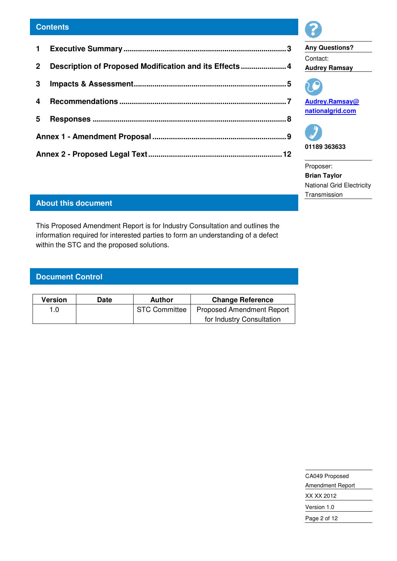#### **Contents**

| Description of Proposed Modification and its Effects  4<br>2 <sup>1</sup><br>3<br>4<br>5 |  |  |
|------------------------------------------------------------------------------------------|--|--|
|                                                                                          |  |  |
|                                                                                          |  |  |
|                                                                                          |  |  |
|                                                                                          |  |  |
|                                                                                          |  |  |
|                                                                                          |  |  |







Proposer: **Brian Taylor**  National Grid Electricity **Transmission** 

### **About this document**

This Proposed Amendment Report is for Industry Consultation and outlines the information required for interested parties to form an understanding of a defect within the STC and the proposed solutions.

#### **Document Control**

| Version | Date | Author               | <b>Change Reference</b>          |
|---------|------|----------------------|----------------------------------|
| 1.0     |      | <b>STC Committee</b> | <b>Proposed Amendment Report</b> |
|         |      |                      | for Industry Consultation        |

| CA049 Proposed          |
|-------------------------|
| <b>Amendment Report</b> |
| XX XX 2012              |
| Version 1.0             |
| Page 2 of 12            |
|                         |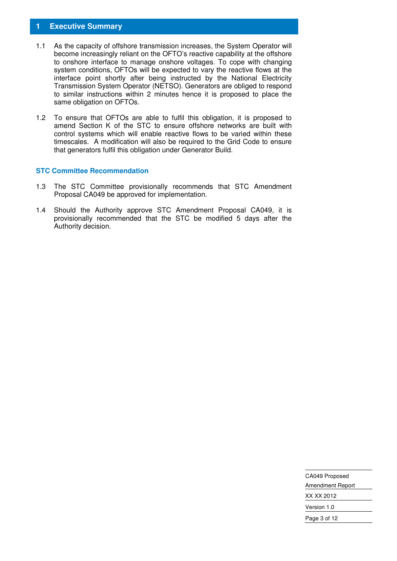#### **1 Executive Summary**

- 1.1 As the capacity of offshore transmission increases, the System Operator will become increasingly reliant on the OFTO's reactive capability at the offshore to onshore interface to manage onshore voltages. To cope with changing system conditions, OFTOs will be expected to vary the reactive flows at the interface point shortly after being instructed by the National Electricity Transmission System Operator (NETSO). Generators are obliged to respond to similar instructions within 2 minutes hence it is proposed to place the same obligation on OFTOs.
- 1.2 To ensure that OFTOs are able to fulfil this obligation, it is proposed to amend Section K of the STC to ensure offshore networks are built with control systems which will enable reactive flows to be varied within these timescales. A modification will also be required to the Grid Code to ensure that generators fulfil this obligation under Generator Build.

#### **STC Committee Recommendation**

- 1.3 The STC Committee provisionally recommends that STC Amendment Proposal CA049 be approved for implementation.
- 1.4 Should the Authority approve STC Amendment Proposal CA049, it is provisionally recommended that the STC be modified 5 days after the Authority decision.

| CA049 Proposed   |
|------------------|
| Amendment Report |
| XX XX 2012       |
| Version 1.0      |
| Page 3 of 12     |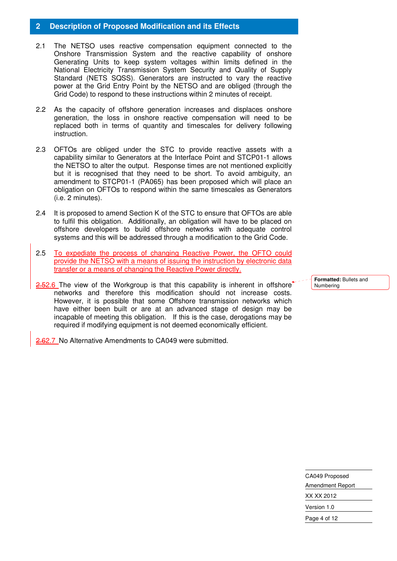#### **2 Description of Proposed Modification and its Effects**

- 2.1 The NETSO uses reactive compensation equipment connected to the Onshore Transmission System and the reactive capability of onshore Generating Units to keep system voltages within limits defined in the National Electricity Transmission System Security and Quality of Supply Standard (NETS SQSS). Generators are instructed to vary the reactive power at the Grid Entry Point by the NETSO and are obliged (through the Grid Code) to respond to these instructions within 2 minutes of receipt.
- 2.2 As the capacity of offshore generation increases and displaces onshore generation, the loss in onshore reactive compensation will need to be replaced both in terms of quantity and timescales for delivery following instruction.
- 2.3 OFTOs are obliged under the STC to provide reactive assets with a capability similar to Generators at the Interface Point and STCP01-1 allows the NETSO to alter the output. Response times are not mentioned explicitly but it is recognised that they need to be short. To avoid ambiguity, an amendment to STCP01-1 (PA065) has been proposed which will place an obligation on OFTOs to respond within the same timescales as Generators (i.e. 2 minutes).
- 2.4 It is proposed to amend Section K of the STC to ensure that OFTOs are able to fulfil this obligation. Additionally, an obligation will have to be placed on offshore developers to build offshore networks with adequate control systems and this will be addressed through a modification to the Grid Code.
- 2.5 To expediate the process of changing Reactive Power, the OFTO could provide the NETSO with a means of issuing the instruction by electronic data transfer or a means of changing the Reactive Power directly.
- 2.52.6 The view of the Workgroup is that this capability is inherent in offshore<sup>\*</sup> networks and therefore this modification should not increase costs. However, it is possible that some Offshore transmission networks which have either been built or are at an advanced stage of design may be incapable of meeting this obligation. If this is the case, derogations may be required if modifying equipment is not deemed economically efficient.

2.62.7 No Alternative Amendments to CA049 were submitted.

**Formatted:** Bullets and Numbering

CA049 Proposed Amendment Report XX XX 2012 Version 1.0 Page 4 of 12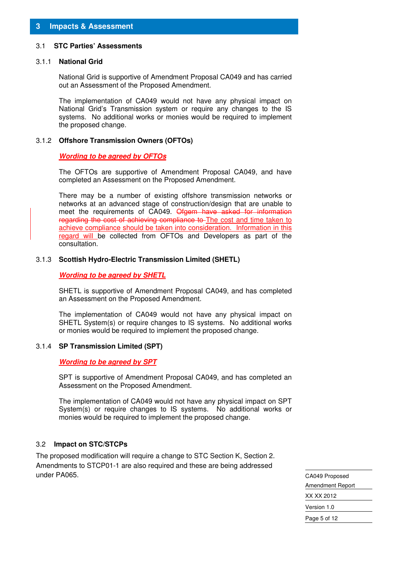#### 3.1 **STC Parties' Assessments**

#### 3.1.1 **National Grid**

National Grid is supportive of Amendment Proposal CA049 and has carried out an Assessment of the Proposed Amendment.

The implementation of CA049 would not have any physical impact on National Grid's Transmission system or require any changes to the IS systems. No additional works or monies would be required to implement the proposed change.

#### 3.1.2 **Offshore Transmission Owners (OFTOs)**

#### **Wording to be agreed by OFTOs**

 The OFTOs are supportive of Amendment Proposal CA049, and have completed an Assessment on the Proposed Amendment.

There may be a number of existing offshore transmission networks or networks at an advanced stage of construction/design that are unable to meet the requirements of CA049. Ofgem have asked for information regarding the cost of achieving compliance to The cost and time taken to achieve compliance should be taken into consideration. Information in this regard will be collected from OFTOs and Developers as part of the consultation.

#### 3.1.3 **Scottish Hydro-Electric Transmission Limited (SHETL)**

#### **Wording to be agreed by SHETL**

 SHETL is supportive of Amendment Proposal CA049, and has completed an Assessment on the Proposed Amendment.

 The implementation of CA049 would not have any physical impact on SHETL System(s) or require changes to IS systems. No additional works or monies would be required to implement the proposed change.

#### 3.1.4 **SP Transmission Limited (SPT)**

#### **Wording to be agreed by SPT**

 SPT is supportive of Amendment Proposal CA049, and has completed an Assessment on the Proposed Amendment.

 The implementation of CA049 would not have any physical impact on SPT System(s) or require changes to IS systems. No additional works or monies would be required to implement the proposed change.

#### 3.2 **Impact on STC/STCPs**

The proposed modification will require a change to STC Section K, Section 2. Amendments to STCP01-1 are also required and these are being addressed under PA065.

CA049 Proposed Amendment Report XX XX 2012 Version 1.0 Page 5 of 12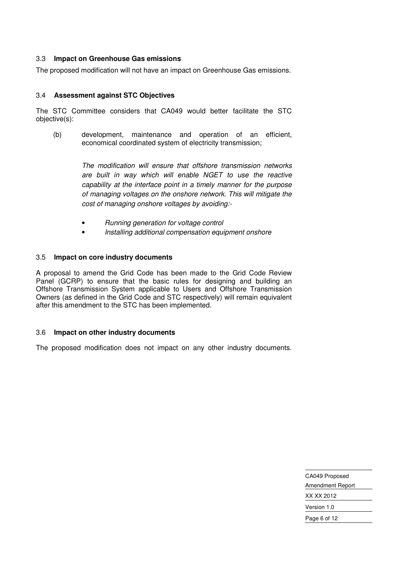#### 3.3 **Impact on Greenhouse Gas emissions**

The proposed modification will not have an impact on Greenhouse Gas emissions.

#### 3.4 **Assessment against STC Objectives**

The STC Committee considers that CA049 would better facilitate the STC objective(s):

(b) development, maintenance and operation of an efficient, economical coordinated system of electricity transmission;

> The modification will ensure that offshore transmission networks are built in way which will enable NGET to use the reactive capability at the interface point in a timely manner for the purpose of managing voltages on the onshore network. This will mitigate the cost of managing onshore voltages by avoiding:-

- Running generation for voltage control
- Installing additional compensation equipment onshore

#### 3.5 **Impact on core industry documents**

A proposal to amend the Grid Code has been made to the Grid Code Review Panel (GCRP) to ensure that the basic rules for designing and building an Offshore Transmission System applicable to Users and Offshore Transmission Owners (as defined in the Grid Code and STC respectively) will remain equivalent after this amendment to the STC has been implemented.

#### 3.6 **Impact on other industry documents**

The proposed modification does not impact on any other industry documents.

CA049 Proposed Amendment Report XX XX 2012 Version 1.0 Page 6 of 12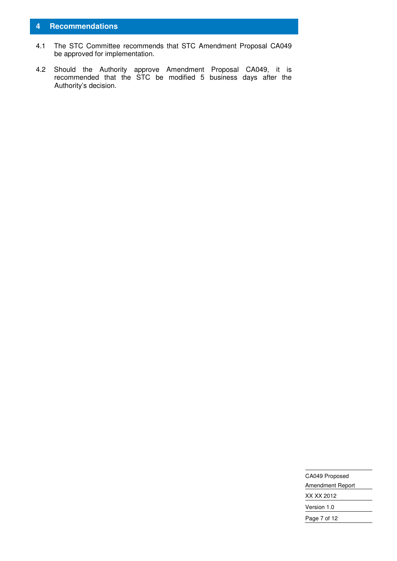#### **4 Recommendations**

- 4.1 The STC Committee recommends that STC Amendment Proposal CA049 be approved for implementation.
- 4.2 Should the Authority approve Amendment Proposal CA049, it is recommended that the STC be modified 5 business days after the Authority's decision.

| CA049 Proposed   |
|------------------|
| Amendment Report |
| XX XX 2012       |
| Version 1.0      |
| Page 7 of 12     |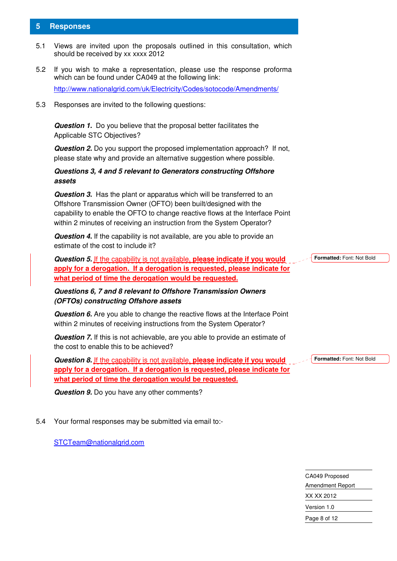#### **5 Responses**

- 5.1 Views are invited upon the proposals outlined in this consultation, which should be received by xx xxxx 2012
- 5.2 If you wish to make a representation, please use the response proforma which can be found under CA049 at the following link: http://www.nationalgrid.com/uk/Electricity/Codes/sotocode/Amendments/
- 5.3 Responses are invited to the following questions:

**Question 1.** Do you believe that the proposal better facilitates the Applicable STC Objectives?

**Question 2.** Do you support the proposed implementation approach? If not, please state why and provide an alternative suggestion where possible.

#### **Questions 3, 4 and 5 relevant to Generators constructing Offshore assets**

**Question 3.** Has the plant or apparatus which will be transferred to an Offshore Transmission Owner (OFTO) been built/designed with the capability to enable the OFTO to change reactive flows at the Interface Point within 2 minutes of receiving an instruction from the System Operator?

**Question 4.** If the capability is not available, are you able to provide an estimate of the cost to include it?

**Question 5.** If the capability is not available, **please indicate if you would apply for a derogation. If a derogation is requested, please indicate for what period of time the derogation would be requested.**

#### **Questions 6, 7 and 8 relevant to Offshore Transmission Owners (OFTOs) constructing Offshore assets**

**Question 6.** Are you able to change the reactive flows at the Interface Point within 2 minutes of receiving instructions from the System Operator?

**Question 7.** If this is not achievable, are you able to provide an estimate of the cost to enable this to be achieved?

**Question 8.** If the capability is not available, **please indicate if you would apply for a derogation. If a derogation is requested, please indicate for what period of time the derogation would be requested.**

**Formatted:** Font: Not Bold

**Formatted:** Font: Not Bold

**Question 9.** Do you have any other comments?

5.4 Your formal responses may be submitted via email to:-

STCTeam@nationalgrid.com

CA049 Proposed Amendment Report XX XX 2012 Version 1.0 Page 8 of 12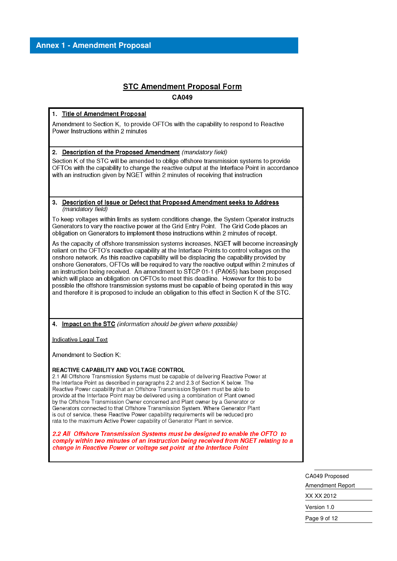#### **STC Amendment Proposal Form CA049**

1. Title of Amendment Proposal

Amendment to Section K, to provide OFTOs with the capability to respond to Reactive Power Instructions within 2 minutes

2. Description of the Proposed Amendment (mandatory field)

Section K of the STC will be amended to oblige offshore transmission systems to provide OFTOs with the capability to change the reactive output at the Interface Point in accordance with an instruction given by NGET within 2 minutes of receiving that instruction

#### $3<sub>1</sub>$ Description of Issue or Defect that Proposed Amendment seeks to Address (mandatory field)

To keep voltages within limits as system conditions change, the System Operator instructs Generators to vary the reactive power at the Grid Entry Point. The Grid Code places an obligation on Generators to implement these instructions within 2 minutes of receipt.

As the capacity of offshore transmission systems increases, NGET will become increasingly reliant on the OFTO's reactive capability at the Interface Points to control voltages on the onshore network. As this reactive capability will be displacing the capability provided by onshore Generators, OFTOs will be required to vary the reactive output within 2 minutes of an instruction being received. An amendment to STCP 01-1 (PA065) has been proposed which will place an obligation on OFTOs to meet this deadline. However for this to be possible the offshore transmission systems must be capable of being operated in this way and therefore it is proposed to include an obligation to this effect in Section K of the STC.

4. Impact on the STC (information should be given where possible)

**Indicative Legal Text** 

Amendment to Section K:

#### REACTIVE CAPABILITY AND VOLTAGE CONTROL

2.1 All Offshore Transmission Systems must be capable of delivering Reactive Power at the Interface Point as described in paragraphs 2.2 and 2.3 of Section K below. The Reactive Power capability that an Offshore Transmission System must be able to provide at the Interface Point may be delivered using a combination of Plant owned by the Offshore Transmission Owner concerned and Plant owner by a Generator or Generators connected to that Offshore Transmission System, Where Generator Plant is out of service, these Reactive Power capability requirements will be reduced pro rata to the maximum Active Power capability of Generator Plant in service.

2.2 All Offshore Transmission Systems must be designed to enable the OFTO to comply within two minutes of an instruction being received from NGET relating to a change in Reactive Power or voltage set point at the Interface Point

> CA049 Proposed **Amendment Report** XX XX 2012 Version 1.0 Page 9 of 12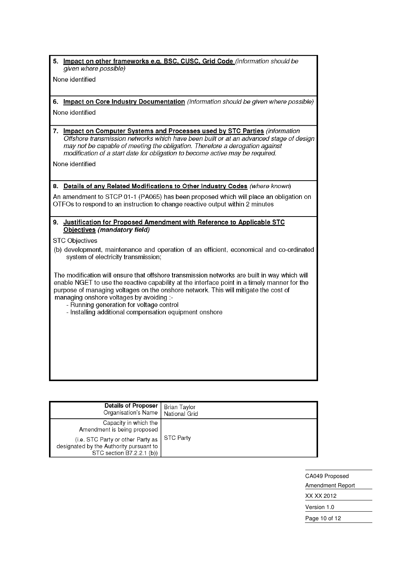5. Impact on other frameworks e.g. BSC, CUSC, Grid Code (information should be given where possible)

None identified

- 6. Impact on Core Industry Documentation (information should be given where possible) None identified
- 7. Impact on Computer Systems and Processes used by STC Parties (information Offshore transmission networks which have been built or at an advanced stage of design may not be capable of meeting the obligation. Therefore a derogation against modification of a start date for obligation to become active may be required.

None identified

#### 8. Details of any Related Modifications to Other Industry Codes (where known)

An amendment to STCP 01-1 (PA065) has been proposed which will place an obligation on OTFOs to respond to an instruction to change reactive output within 2 minutes

#### 9. Justification for Proposed Amendment with Reference to Applicable STC Objectives (mandatory field)

**STC Objectives** 

(b) development, maintenance and operation of an efficient, economical and co-ordinated system of electricity transmission;

The modification will ensure that offshore transmission networks are built in way which will enable NGET to use the reactive capability at the interface point in a timely manner for the purpose of managing voltages on the onshore network. This will mitigate the cost of managing onshore voltages by avoiding :-

- Running generation for voltage control
- Installing additional compensation equipment onshore

| <b>Details of Proposer</b><br>Organisation's Name                                                         | Brian Taylor<br>National Grid |
|-----------------------------------------------------------------------------------------------------------|-------------------------------|
| Capacity in which the<br>Amendment is being proposed                                                      |                               |
| (i.e. STC Party or other Party as<br>designated by the Authority pursuant to<br>STC section B7.2.2.1 (b)) | <b>STC Party</b>              |

| CA049 Proposed          |
|-------------------------|
| <b>Amendment Report</b> |
| XX XX 2012              |
| Version 1.0             |
| Page 10 of 12           |
|                         |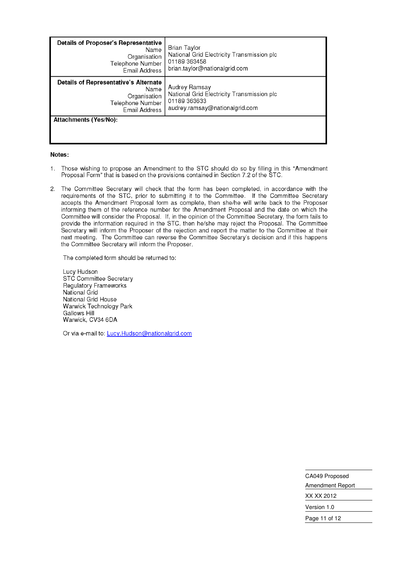| <b>Details of Proposer's Representative</b><br>Name<br>Organisation<br>Telephone Number<br>Email Address | Brian Taylor<br>National Grid Electricity Transmission plc<br>01189 363458<br>brian.taylor@nationalgrid.com   |
|----------------------------------------------------------------------------------------------------------|---------------------------------------------------------------------------------------------------------------|
| Details of Representative's Alternate<br>Name<br>Organisation<br>Telephone Number<br>Email Address       | Audrey Ramsay<br>National Grid Electricity Transmission plc<br>01189 363633<br>audrey.ramsay@nationalgrid.com |
| Attachments (Yes/No):                                                                                    |                                                                                                               |

#### Notes:

- Those wishing to propose an Amendment to the STC should do so by filling in this "Amendment 1. Proposal Form" that is based on the provisions contained in Section 7.2 of the STC.
- The Committee Secretary will check that the form has been completed, in accordance with the  $2<sup>1</sup>$ requirements of the STC, prior to submitting it to the Committee. If the Committee Secretary accepts the Amendment Proposal form as complete, then she/he will write back to the Proposer informing them of the reference number for the Amendment Proposal and the date on which the Committee will consider the Proposal. If, in the opinion of the Committee Secretary, the form fails to provide the information required in the STC, then he/she may reject the Proposal. The Committee Secretary will inform the Proposer of the rejection and report the matter to the Committee at their next meeting. The Committee can reverse the Committee Secretary's decision and if this happens the Committee Secretary will inform the Proposer.

The completed form should be returned to:

Lucy Hudson STC Committee Secretary Regulatory Frameworks National Grid National Grid House Warwick Technology Park Gallows Hill Warwick, CV34 6DA

Or via e-mail to: Lucy.Hudson@nationalgrid.com

| CA049 Proposed   |
|------------------|
| Amendment Report |
| XX XX 2012       |
| Version 1.0      |
| Page 11 of 12    |
|                  |